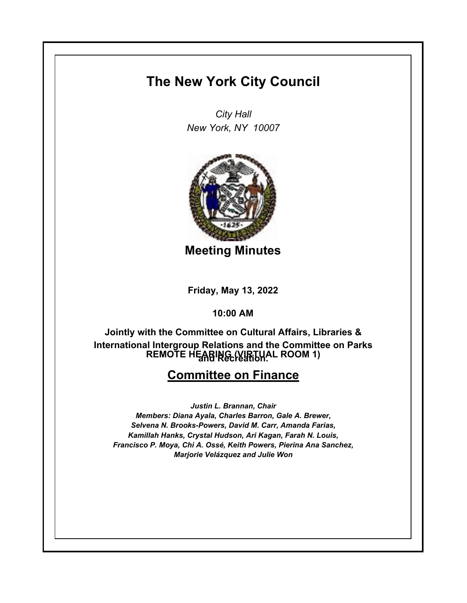# **The New York City Council**

*City Hall New York, NY 10007*



**Meeting Minutes**

**Friday, May 13, 2022**

**10:00 AM**

**REMOTE HEARING (VIRTUAL ROOM 1) Jointly with the Committee on Cultural Affairs, Libraries & International Intergroup Relations and the Committee on Parks and Recreation.**

# **Committee on Finance**

*Justin L. Brannan, Chair Members: Diana Ayala, Charles Barron, Gale A. Brewer, Selvena N. Brooks-Powers, David M. Carr, Amanda Farias, Kamillah Hanks, Crystal Hudson, Ari Kagan, Farah N. Louis, Francisco P. Moya, Chi A. Ossé, Keith Powers, Pierina Ana Sanchez, Marjorie Velázquez and Julie Won*